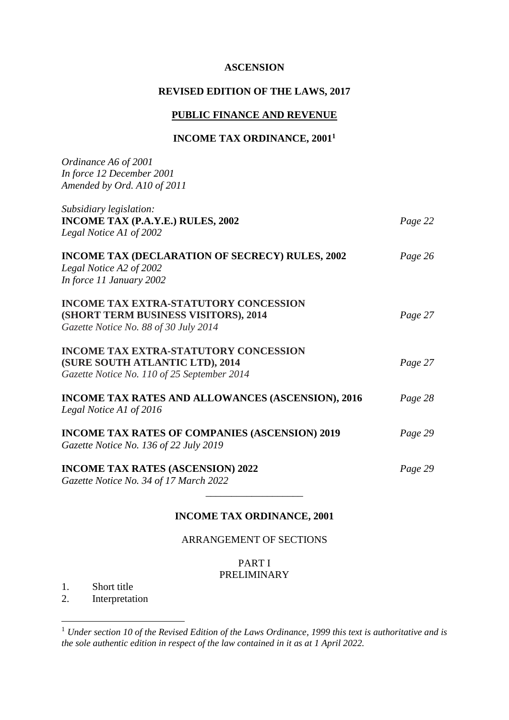#### **ASCENSION**

## **REVISED EDITION OF THE LAWS, 2017**

## **PUBLIC FINANCE AND REVENUE**

## **INCOME TAX ORDINANCE, 2001<sup>1</sup>**

| Ordinance A6 of 2001<br>In force 12 December 2001<br>Amended by Ord. A10 of 2011                                               |         |
|--------------------------------------------------------------------------------------------------------------------------------|---------|
| Subsidiary legislation:                                                                                                        |         |
| INCOME TAX (P.A.Y.E.) RULES, 2002<br>Legal Notice A1 of 2002                                                                   | Page 22 |
| <b>INCOME TAX (DECLARATION OF SECRECY) RULES, 2002</b><br>Legal Notice A2 of 2002<br>In force 11 January 2002                  | Page 26 |
| <b>INCOME TAX EXTRA-STATUTORY CONCESSION</b><br>(SHORT TERM BUSINESS VISITORS), 2014<br>Gazette Notice No. 88 of 30 July 2014  | Page 27 |
| <b>INCOME TAX EXTRA-STATUTORY CONCESSION</b><br>(SURE SOUTH ATLANTIC LTD), 2014<br>Gazette Notice No. 110 of 25 September 2014 | Page 27 |
| <b>INCOME TAX RATES AND ALLOWANCES (ASCENSION), 2016</b><br>Legal Notice A1 of 2016                                            | Page 28 |
| <b>INCOME TAX RATES OF COMPANIES (ASCENSION) 2019</b><br>Gazette Notice No. 136 of 22 July 2019                                | Page 29 |
| <b>INCOME TAX RATES (ASCENSION) 2022</b><br>Gazette Notice No. 34 of 17 March 2022                                             | Page 29 |
|                                                                                                                                |         |

## **INCOME TAX ORDINANCE, 2001**

ARRANGEMENT OF SECTIONS

### PART I PRELIMINARY

1. Short title

1

2. Interpretation

<sup>1</sup> *Under section 10 of the Revised Edition of the Laws Ordinance, 1999 this text is authoritative and is the sole authentic edition in respect of the law contained in it as at 1 April 2022.*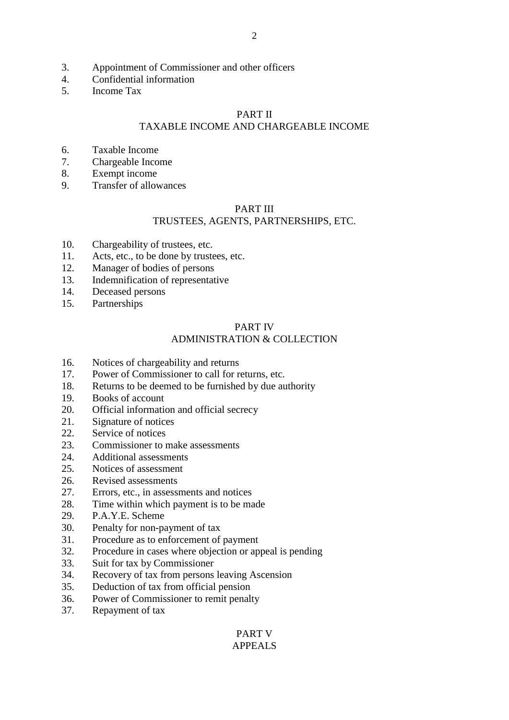- 3. Appointment of Commissioner and other officers
- 4. Confidential information<br>5 Income Tax
- 5. Income Tax

#### PART II

## TAXABLE INCOME AND CHARGEABLE INCOME

- 6. Taxable Income
- 7. Chargeable Income
- 8. Exempt income
- 9. Transfer of allowances

#### PART III

#### TRUSTEES, AGENTS, PARTNERSHIPS, ETC.

- 10. Chargeability of trustees, etc.
- 11. Acts, etc., to be done by trustees, etc.
- 12. Manager of bodies of persons
- 13. Indemnification of representative
- 14. Deceased persons
- 15. Partnerships

#### PART IV

#### ADMINISTRATION & COLLECTION

- 16. Notices of chargeability and returns
- 17. Power of Commissioner to call for returns, etc.
- 18. Returns to be deemed to be furnished by due authority
- 19. Books of account
- 20. Official information and official secrecy
- 21. Signature of notices
- 22. Service of notices
- 23. Commissioner to make assessments
- 24. Additional assessments
- 25. Notices of assessment
- 26. Revised assessments
- 27. Errors, etc., in assessments and notices
- 28. Time within which payment is to be made
- 29. P.A.Y.E. Scheme
- 30. Penalty for non-payment of tax
- 31. Procedure as to enforcement of payment
- 32. Procedure in cases where objection or appeal is pending
- 33. Suit for tax by Commissioner
- 34. Recovery of tax from persons leaving Ascension
- 35. Deduction of tax from official pension
- 36. Power of Commissioner to remit penalty
- 37. Repayment of tax

#### PART V APPEALS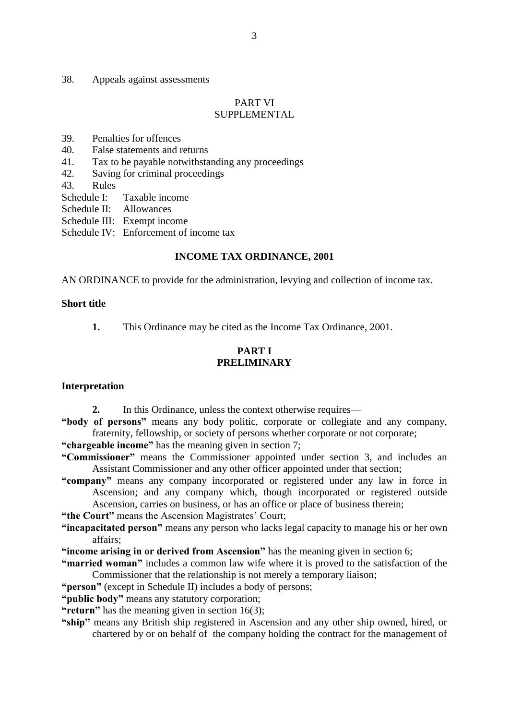#### 38. Appeals against assessments

#### PART VI SUPPLEMENTAL

- 39. Penalties for offences
- 40. False statements and returns
- 41. Tax to be payable notwithstanding any proceedings
- 42. Saving for criminal proceedings
- 43. Rules
- Schedule I: Taxable income
- Schedule II: Allowances
- Schedule III: Exempt income
- Schedule IV: Enforcement of income tax

#### **INCOME TAX ORDINANCE, 2001**

AN ORDINANCE to provide for the administration, levying and collection of income tax.

#### **Short title**

**1.** This Ordinance may be cited as the Income Tax Ordinance, 2001.

#### **PART I PRELIMINARY**

#### **Interpretation**

- 2. In this Ordinance, unless the context otherwise requires—
- **"body of persons"** means any body politic, corporate or collegiate and any company, fraternity, fellowship, or society of persons whether corporate or not corporate;

**"chargeable income"** has the meaning given in section 7;

- **"Commissioner"** means the Commissioner appointed under section 3, and includes an Assistant Commissioner and any other officer appointed under that section;
- **"company"** means any company incorporated or registered under any law in force in Ascension; and any company which, though incorporated or registered outside Ascension, carries on business, or has an office or place of business therein;

- **"the Court"** means the Ascension Magistrates' Court;
- **"incapacitated person"** means any person who lacks legal capacity to manage his or her own affairs;
- **"income arising in or derived from Ascension"** has the meaning given in section 6;
- **"married woman"** includes a common law wife where it is proved to the satisfaction of the Commissioner that the relationship is not merely a temporary liaison;
- **"person"** (except in Schedule II) includes a body of persons;
- **"public body"** means any statutory corporation;
- **"return"** has the meaning given in section 16(3);
- **"ship"** means any British ship registered in Ascension and any other ship owned, hired, or chartered by or on behalf of the company holding the contract for the management of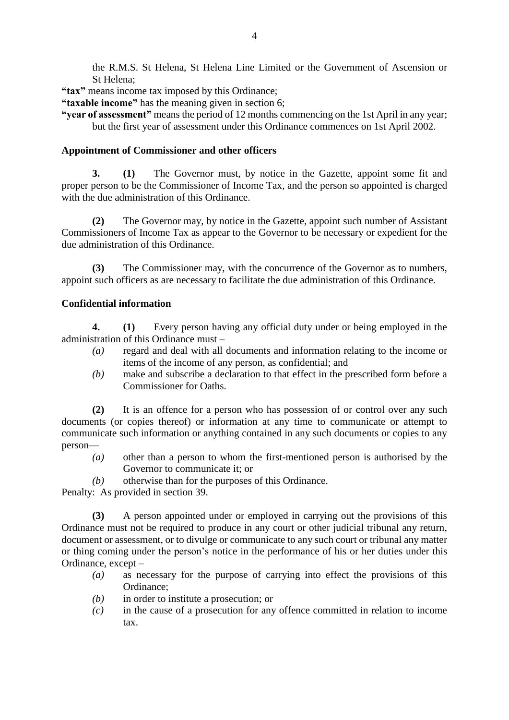the R.M.S. St Helena, St Helena Line Limited or the Government of Ascension or St Helena;

**"tax"** means income tax imposed by this Ordinance;

**"taxable income"** has the meaning given in section 6;

**"year of assessment"** means the period of 12 months commencing on the 1st April in any year; but the first year of assessment under this Ordinance commences on 1st April 2002.

### **Appointment of Commissioner and other officers**

**3. (1)** The Governor must, by notice in the Gazette, appoint some fit and proper person to be the Commissioner of Income Tax, and the person so appointed is charged with the due administration of this Ordinance.

**(2)** The Governor may, by notice in the Gazette, appoint such number of Assistant Commissioners of Income Tax as appear to the Governor to be necessary or expedient for the due administration of this Ordinance.

**(3)** The Commissioner may, with the concurrence of the Governor as to numbers, appoint such officers as are necessary to facilitate the due administration of this Ordinance.

### **Confidential information**

**4. (1)** Every person having any official duty under or being employed in the administration of this Ordinance must –

- *(a)* regard and deal with all documents and information relating to the income or items of the income of any person, as confidential; and
- *(b)* make and subscribe a declaration to that effect in the prescribed form before a Commissioner for Oaths.

**(2)** It is an offence for a person who has possession of or control over any such documents (or copies thereof) or information at any time to communicate or attempt to communicate such information or anything contained in any such documents or copies to any person—

- *(a)* other than a person to whom the first-mentioned person is authorised by the Governor to communicate it; or
- *(b)* otherwise than for the purposes of this Ordinance.

Penalty: As provided in section 39.

**(3)** A person appointed under or employed in carrying out the provisions of this Ordinance must not be required to produce in any court or other judicial tribunal any return, document or assessment, or to divulge or communicate to any such court or tribunal any matter or thing coming under the person's notice in the performance of his or her duties under this Ordinance, except –

- *(a)* as necessary for the purpose of carrying into effect the provisions of this Ordinance;
- *(b)* in order to institute a prosecution; or
- *(c)* in the cause of a prosecution for any offence committed in relation to income tax.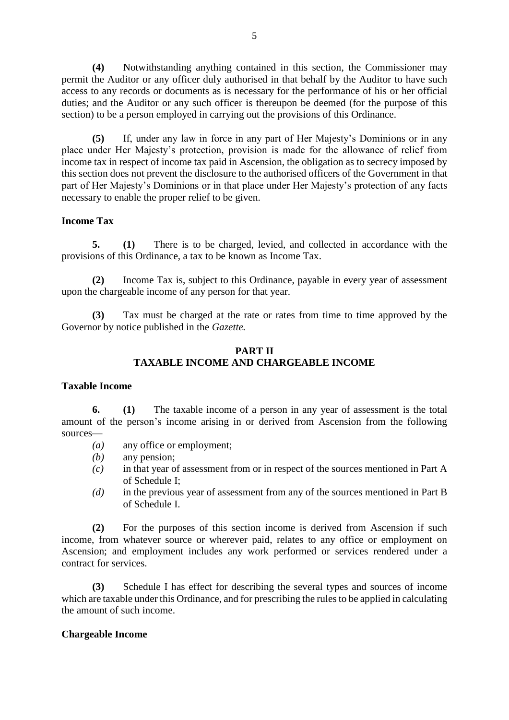**(4)** Notwithstanding anything contained in this section, the Commissioner may permit the Auditor or any officer duly authorised in that behalf by the Auditor to have such access to any records or documents as is necessary for the performance of his or her official duties; and the Auditor or any such officer is thereupon be deemed (for the purpose of this section) to be a person employed in carrying out the provisions of this Ordinance.

**(5)** If, under any law in force in any part of Her Majesty's Dominions or in any place under Her Majesty's protection, provision is made for the allowance of relief from income tax in respect of income tax paid in Ascension, the obligation as to secrecy imposed by this section does not prevent the disclosure to the authorised officers of the Government in that part of Her Majesty's Dominions or in that place under Her Majesty's protection of any facts necessary to enable the proper relief to be given.

### **Income Tax**

**5. (1)** There is to be charged, levied, and collected in accordance with the provisions of this Ordinance, a tax to be known as Income Tax.

**(2)** Income Tax is, subject to this Ordinance, payable in every year of assessment upon the chargeable income of any person for that year.

**(3)** Tax must be charged at the rate or rates from time to time approved by the Governor by notice published in the *Gazette.*

#### **PART II TAXABLE INCOME AND CHARGEABLE INCOME**

#### **Taxable Income**

**6. (1)** The taxable income of a person in any year of assessment is the total amount of the person's income arising in or derived from Ascension from the following sources—

- *(a)* any office or employment;
- *(b)* any pension;
- *(c)* in that year of assessment from or in respect of the sources mentioned in Part A of Schedule I;
- *(d)* in the previous year of assessment from any of the sources mentioned in Part B of Schedule I.

**(2)** For the purposes of this section income is derived from Ascension if such income, from whatever source or wherever paid, relates to any office or employment on Ascension; and employment includes any work performed or services rendered under a contract for services.

**(3)** Schedule I has effect for describing the several types and sources of income which are taxable under this Ordinance, and for prescribing the rules to be applied in calculating the amount of such income.

#### **Chargeable Income**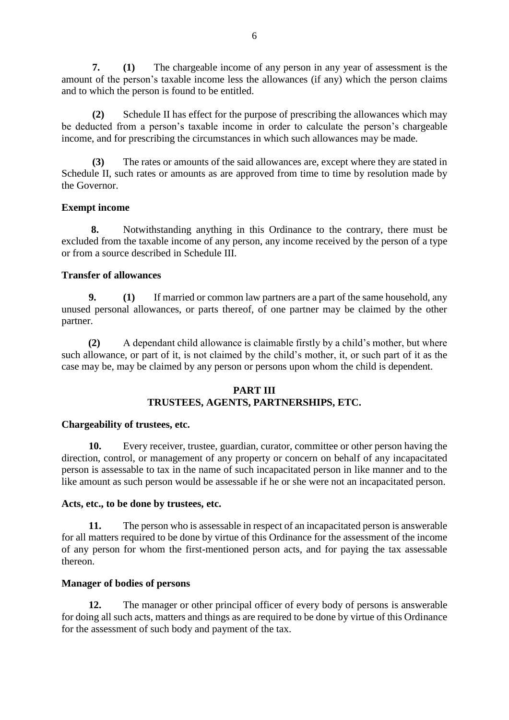**7. (1)** The chargeable income of any person in any year of assessment is the amount of the person's taxable income less the allowances (if any) which the person claims and to which the person is found to be entitled.

**(2)** Schedule II has effect for the purpose of prescribing the allowances which may be deducted from a person's taxable income in order to calculate the person's chargeable income, and for prescribing the circumstances in which such allowances may be made.

**(3)** The rates or amounts of the said allowances are, except where they are stated in Schedule II, such rates or amounts as are approved from time to time by resolution made by the Governor.

### **Exempt income**

**8.** Notwithstanding anything in this Ordinance to the contrary, there must be excluded from the taxable income of any person, any income received by the person of a type or from a source described in Schedule III.

### **Transfer of allowances**

**9. (1)** If married or common law partners are a part of the same household, any unused personal allowances, or parts thereof, of one partner may be claimed by the other partner.

**(2)** A dependant child allowance is claimable firstly by a child's mother, but where such allowance, or part of it, is not claimed by the child's mother, it, or such part of it as the case may be, may be claimed by any person or persons upon whom the child is dependent.

### **PART III TRUSTEES, AGENTS, PARTNERSHIPS, ETC.**

#### **Chargeability of trustees, etc.**

**10.** Every receiver, trustee, guardian, curator, committee or other person having the direction, control, or management of any property or concern on behalf of any incapacitated person is assessable to tax in the name of such incapacitated person in like manner and to the like amount as such person would be assessable if he or she were not an incapacitated person.

#### **Acts, etc., to be done by trustees, etc.**

**11.** The person who is assessable in respect of an incapacitated person is answerable for all matters required to be done by virtue of this Ordinance for the assessment of the income of any person for whom the first-mentioned person acts, and for paying the tax assessable thereon.

#### **Manager of bodies of persons**

**12.** The manager or other principal officer of every body of persons is answerable for doing all such acts, matters and things as are required to be done by virtue of this Ordinance for the assessment of such body and payment of the tax.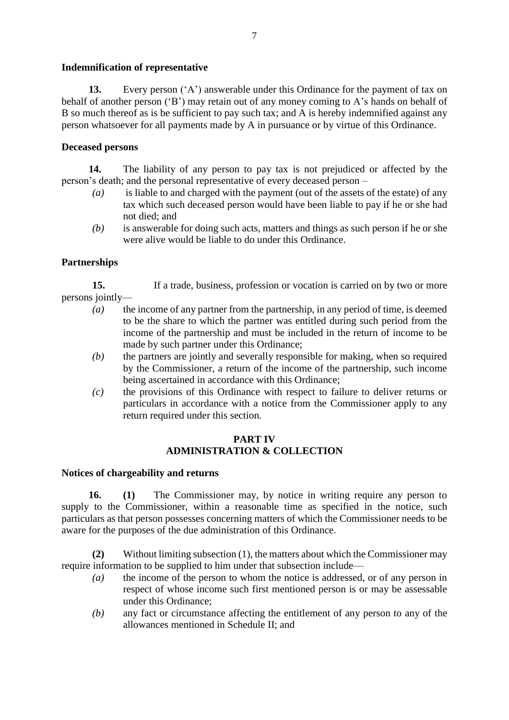### **Indemnification of representative**

**13.** Every person ('A') answerable under this Ordinance for the payment of tax on behalf of another person ('B') may retain out of any money coming to A's hands on behalf of B so much thereof as is be sufficient to pay such tax; and A is hereby indemnified against any person whatsoever for all payments made by A in pursuance or by virtue of this Ordinance.

## **Deceased persons**

**14.** The liability of any person to pay tax is not prejudiced or affected by the person's death; and the personal representative of every deceased person –

- *(a)* is liable to and charged with the payment (out of the assets of the estate) of any tax which such deceased person would have been liable to pay if he or she had not died; and
- *(b)* is answerable for doing such acts, matters and things as such person if he or she were alive would be liable to do under this Ordinance.

### **Partnerships**

**15.** If a trade, business, profession or vocation is carried on by two or more persons jointly—

- *(a)* the income of any partner from the partnership, in any period of time, is deemed to be the share to which the partner was entitled during such period from the income of the partnership and must be included in the return of income to be made by such partner under this Ordinance;
- *(b)* the partners are jointly and severally responsible for making, when so required by the Commissioner, a return of the income of the partnership, such income being ascertained in accordance with this Ordinance;
- *(c)* the provisions of this Ordinance with respect to failure to deliver returns or particulars in accordance with a notice from the Commissioner apply to any return required under this section.

### **PART IV ADMINISTRATION & COLLECTION**

#### **Notices of chargeability and returns**

**16. (1)** The Commissioner may, by notice in writing require any person to supply to the Commissioner, within a reasonable time as specified in the notice, such particulars as that person possesses concerning matters of which the Commissioner needs to be aware for the purposes of the due administration of this Ordinance.

**(2)** Without limiting subsection (1), the matters about which the Commissioner may require information to be supplied to him under that subsection include—

- *(a)* the income of the person to whom the notice is addressed, or of any person in respect of whose income such first mentioned person is or may be assessable under this Ordinance;
- *(b)* any fact or circumstance affecting the entitlement of any person to any of the allowances mentioned in Schedule II; and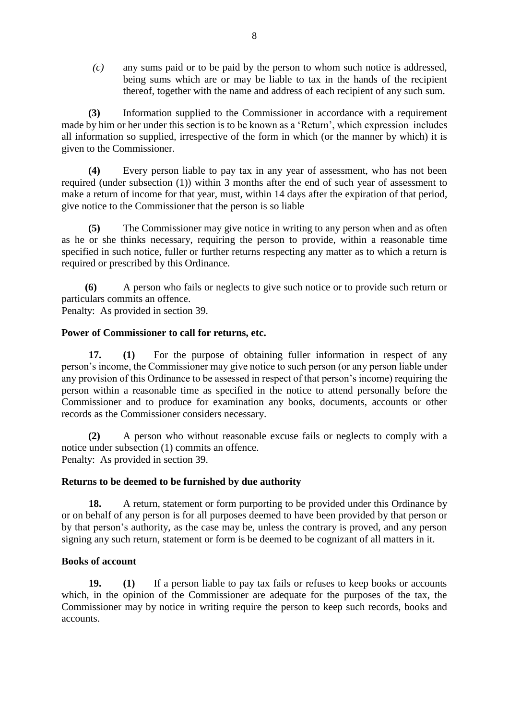*(c)* any sums paid or to be paid by the person to whom such notice is addressed, being sums which are or may be liable to tax in the hands of the recipient thereof, together with the name and address of each recipient of any such sum.

**(3)** Information supplied to the Commissioner in accordance with a requirement made by him or her under this section is to be known as a 'Return', which expression includes all information so supplied, irrespective of the form in which (or the manner by which) it is given to the Commissioner.

**(4)** Every person liable to pay tax in any year of assessment, who has not been required (under subsection (1)) within 3 months after the end of such year of assessment to make a return of income for that year, must, within 14 days after the expiration of that period, give notice to the Commissioner that the person is so liable

**(5)** The Commissioner may give notice in writing to any person when and as often as he or she thinks necessary, requiring the person to provide, within a reasonable time specified in such notice, fuller or further returns respecting any matter as to which a return is required or prescribed by this Ordinance.

**(6)** A person who fails or neglects to give such notice or to provide such return or particulars commits an offence.

Penalty: As provided in section 39.

### **Power of Commissioner to call for returns, etc.**

**17. (1)** For the purpose of obtaining fuller information in respect of any person's income, the Commissioner may give notice to such person (or any person liable under any provision of this Ordinance to be assessed in respect of that person's income) requiring the person within a reasonable time as specified in the notice to attend personally before the Commissioner and to produce for examination any books, documents, accounts or other records as the Commissioner considers necessary.

**(2)** A person who without reasonable excuse fails or neglects to comply with a notice under subsection (1) commits an offence. Penalty: As provided in section 39.

#### **Returns to be deemed to be furnished by due authority**

**18.** A return, statement or form purporting to be provided under this Ordinance by or on behalf of any person is for all purposes deemed to have been provided by that person or by that person's authority, as the case may be, unless the contrary is proved, and any person signing any such return, statement or form is be deemed to be cognizant of all matters in it.

#### **Books of account**

**19. (1)** If a person liable to pay tax fails or refuses to keep books or accounts which, in the opinion of the Commissioner are adequate for the purposes of the tax, the Commissioner may by notice in writing require the person to keep such records, books and accounts.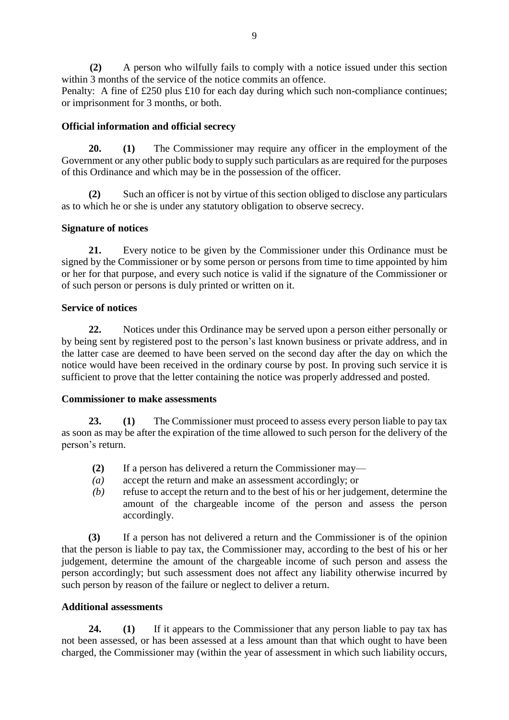**(2)** A person who wilfully fails to comply with a notice issued under this section within 3 months of the service of the notice commits an offence.

Penalty: A fine of £250 plus £10 for each day during which such non-compliance continues; or imprisonment for 3 months, or both.

## **Official information and official secrecy**

**20. (1)** The Commissioner may require any officer in the employment of the Government or any other public body to supply such particulars as are required for the purposes of this Ordinance and which may be in the possession of the officer.

**(2)** Such an officer is not by virtue of this section obliged to disclose any particulars as to which he or she is under any statutory obligation to observe secrecy.

### **Signature of notices**

**21.** Every notice to be given by the Commissioner under this Ordinance must be signed by the Commissioner or by some person or persons from time to time appointed by him or her for that purpose, and every such notice is valid if the signature of the Commissioner or of such person or persons is duly printed or written on it.

#### **Service of notices**

**22.** Notices under this Ordinance may be served upon a person either personally or by being sent by registered post to the person's last known business or private address, and in the latter case are deemed to have been served on the second day after the day on which the notice would have been received in the ordinary course by post. In proving such service it is sufficient to prove that the letter containing the notice was properly addressed and posted.

#### **Commissioner to make assessments**

**23. (1)** The Commissioner must proceed to assess every person liable to pay tax as soon as may be after the expiration of the time allowed to such person for the delivery of the person's return.

- **(2)** If a person has delivered a return the Commissioner may—
- *(a)* accept the return and make an assessment accordingly; or
- *(b)* refuse to accept the return and to the best of his or her judgement, determine the amount of the chargeable income of the person and assess the person accordingly.

**(3)** If a person has not delivered a return and the Commissioner is of the opinion that the person is liable to pay tax, the Commissioner may, according to the best of his or her judgement, determine the amount of the chargeable income of such person and assess the person accordingly; but such assessment does not affect any liability otherwise incurred by such person by reason of the failure or neglect to deliver a return.

#### **Additional assessments**

**24. (1)** If it appears to the Commissioner that any person liable to pay tax has not been assessed, or has been assessed at a less amount than that which ought to have been charged, the Commissioner may (within the year of assessment in which such liability occurs,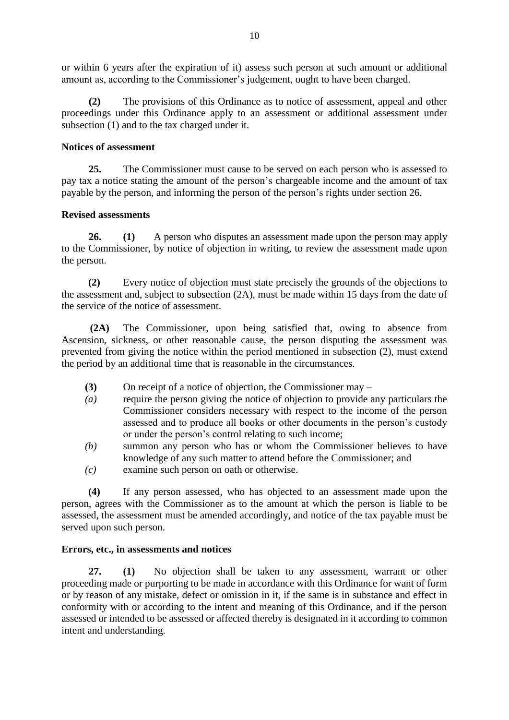or within 6 years after the expiration of it) assess such person at such amount or additional amount as, according to the Commissioner's judgement, ought to have been charged.

**(2)** The provisions of this Ordinance as to notice of assessment, appeal and other proceedings under this Ordinance apply to an assessment or additional assessment under subsection (1) and to the tax charged under it.

#### **Notices of assessment**

**25.** The Commissioner must cause to be served on each person who is assessed to pay tax a notice stating the amount of the person's chargeable income and the amount of tax payable by the person, and informing the person of the person's rights under section 26.

### **Revised assessments**

**26. (1)** A person who disputes an assessment made upon the person may apply to the Commissioner, by notice of objection in writing, to review the assessment made upon the person.

**(2)** Every notice of objection must state precisely the grounds of the objections to the assessment and, subject to subsection (2A), must be made within 15 days from the date of the service of the notice of assessment.

 **(2A)** The Commissioner, upon being satisfied that, owing to absence from Ascension, sickness, or other reasonable cause, the person disputing the assessment was prevented from giving the notice within the period mentioned in subsection (2), must extend the period by an additional time that is reasonable in the circumstances.

- **(3)** On receipt of a notice of objection, the Commissioner may –
- *(a)* require the person giving the notice of objection to provide any particulars the Commissioner considers necessary with respect to the income of the person assessed and to produce all books or other documents in the person's custody or under the person's control relating to such income;
- *(b)* summon any person who has or whom the Commissioner believes to have knowledge of any such matter to attend before the Commissioner; and
- *(c)* examine such person on oath or otherwise.

**(4)** If any person assessed, who has objected to an assessment made upon the person, agrees with the Commissioner as to the amount at which the person is liable to be assessed, the assessment must be amended accordingly, and notice of the tax payable must be served upon such person.

## **Errors, etc., in assessments and notices**

**27. (1)** No objection shall be taken to any assessment, warrant or other proceeding made or purporting to be made in accordance with this Ordinance for want of form or by reason of any mistake, defect or omission in it, if the same is in substance and effect in conformity with or according to the intent and meaning of this Ordinance, and if the person assessed or intended to be assessed or affected thereby is designated in it according to common intent and understanding.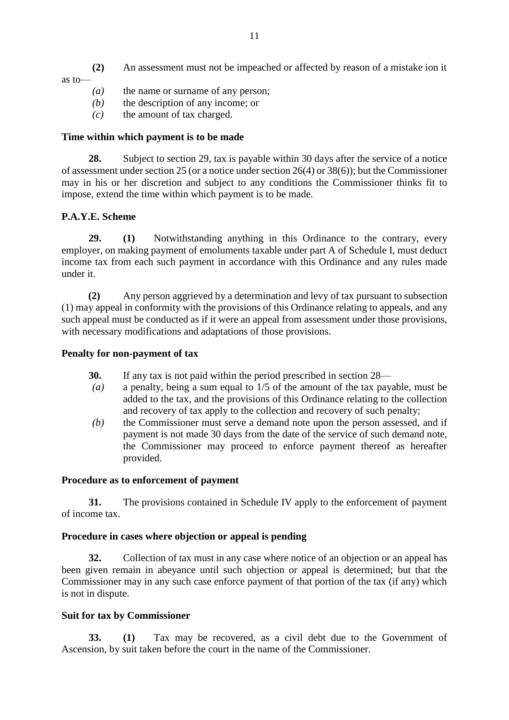**(2)** An assessment must not be impeached or affected by reason of a mistake ion it as to—

- *(a)* the name or surname of any person;
- *(b)* the description of any income; or
- *(c)* the amount of tax charged.

#### **Time within which payment is to be made**

**28.** Subject to section 29, tax is payable within 30 days after the service of a notice of assessment under section 25 (or a notice under section 26(4) or 38(6)); but the Commissioner may in his or her discretion and subject to any conditions the Commissioner thinks fit to impose, extend the time within which payment is to be made.

### **P.A.Y.E. Scheme**

**29. (1)** Notwithstanding anything in this Ordinance to the contrary, every employer, on making payment of emoluments taxable under part A of Schedule I, must deduct income tax from each such payment in accordance with this Ordinance and any rules made under it.

**(2)** Any person aggrieved by a determination and levy of tax pursuant to subsection (1) may appeal in conformity with the provisions of this Ordinance relating to appeals, and any such appeal must be conducted as if it were an appeal from assessment under those provisions, with necessary modifications and adaptations of those provisions.

#### **Penalty for non-payment of tax**

- **30.** If any tax is not paid within the period prescribed in section 28—
- *(a)* a penalty, being a sum equal to 1/5 of the amount of the tax payable, must be added to the tax, and the provisions of this Ordinance relating to the collection and recovery of tax apply to the collection and recovery of such penalty;
- *(b)* the Commissioner must serve a demand note upon the person assessed, and if payment is not made 30 days from the date of the service of such demand note, the Commissioner may proceed to enforce payment thereof as hereafter provided.

#### **Procedure as to enforcement of payment**

**31.** The provisions contained in Schedule IV apply to the enforcement of payment of income tax.

#### **Procedure in cases where objection or appeal is pending**

**32.** Collection of tax must in any case where notice of an objection or an appeal has been given remain in abeyance until such objection or appeal is determined; but that the Commissioner may in any such case enforce payment of that portion of the tax (if any) which is not in dispute.

#### **Suit for tax by Commissioner**

**33. (1)** Tax may be recovered, as a civil debt due to the Government of Ascension, by suit taken before the court in the name of the Commissioner.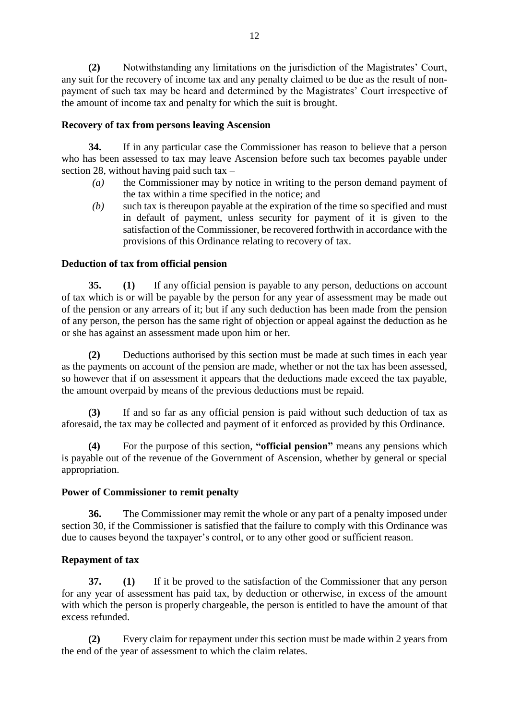**(2)** Notwithstanding any limitations on the jurisdiction of the Magistrates' Court, any suit for the recovery of income tax and any penalty claimed to be due as the result of nonpayment of such tax may be heard and determined by the Magistrates' Court irrespective of the amount of income tax and penalty for which the suit is brought.

### **Recovery of tax from persons leaving Ascension**

**34.** If in any particular case the Commissioner has reason to believe that a person who has been assessed to tax may leave Ascension before such tax becomes payable under section 28, without having paid such tax  $-$ 

- *(a)* the Commissioner may by notice in writing to the person demand payment of the tax within a time specified in the notice; and
- *(b)* such tax is thereupon payable at the expiration of the time so specified and must in default of payment, unless security for payment of it is given to the satisfaction of the Commissioner, be recovered forthwith in accordance with the provisions of this Ordinance relating to recovery of tax.

### **Deduction of tax from official pension**

**35. (1)** If any official pension is payable to any person, deductions on account of tax which is or will be payable by the person for any year of assessment may be made out of the pension or any arrears of it; but if any such deduction has been made from the pension of any person, the person has the same right of objection or appeal against the deduction as he or she has against an assessment made upon him or her.

**(2)** Deductions authorised by this section must be made at such times in each year as the payments on account of the pension are made, whether or not the tax has been assessed, so however that if on assessment it appears that the deductions made exceed the tax payable, the amount overpaid by means of the previous deductions must be repaid.

**(3)** If and so far as any official pension is paid without such deduction of tax as aforesaid, the tax may be collected and payment of it enforced as provided by this Ordinance.

**(4)** For the purpose of this section, **"official pension"** means any pensions which is payable out of the revenue of the Government of Ascension, whether by general or special appropriation.

#### **Power of Commissioner to remit penalty**

**36.** The Commissioner may remit the whole or any part of a penalty imposed under section 30, if the Commissioner is satisfied that the failure to comply with this Ordinance was due to causes beyond the taxpayer's control, or to any other good or sufficient reason.

## **Repayment of tax**

**37. (1)** If it be proved to the satisfaction of the Commissioner that any person for any year of assessment has paid tax, by deduction or otherwise, in excess of the amount with which the person is properly chargeable, the person is entitled to have the amount of that excess refunded.

**(2)** Every claim for repayment under this section must be made within 2 years from the end of the year of assessment to which the claim relates.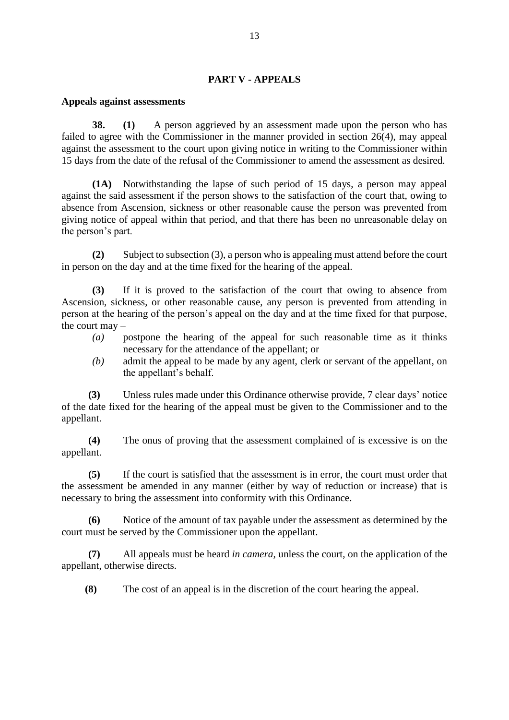#### **PART V - APPEALS**

#### **Appeals against assessments**

**38. (1)** A person aggrieved by an assessment made upon the person who has failed to agree with the Commissioner in the manner provided in section 26(4), may appeal against the assessment to the court upon giving notice in writing to the Commissioner within 15 days from the date of the refusal of the Commissioner to amend the assessment as desired.

**(1A)** Notwithstanding the lapse of such period of 15 days, a person may appeal against the said assessment if the person shows to the satisfaction of the court that, owing to absence from Ascension, sickness or other reasonable cause the person was prevented from giving notice of appeal within that period, and that there has been no unreasonable delay on the person's part.

**(2)** Subject to subsection (3), a person who is appealing must attend before the court in person on the day and at the time fixed for the hearing of the appeal.

**(3)** If it is proved to the satisfaction of the court that owing to absence from Ascension, sickness, or other reasonable cause, any person is prevented from attending in person at the hearing of the person's appeal on the day and at the time fixed for that purpose, the court may –

- *(a)* postpone the hearing of the appeal for such reasonable time as it thinks necessary for the attendance of the appellant; or
- *(b)* admit the appeal to be made by any agent, clerk or servant of the appellant, on the appellant's behalf.

**(3)** Unless rules made under this Ordinance otherwise provide, 7 clear days' notice of the date fixed for the hearing of the appeal must be given to the Commissioner and to the appellant.

**(4)** The onus of proving that the assessment complained of is excessive is on the appellant.

**(5)** If the court is satisfied that the assessment is in error, the court must order that the assessment be amended in any manner (either by way of reduction or increase) that is necessary to bring the assessment into conformity with this Ordinance.

**(6)** Notice of the amount of tax payable under the assessment as determined by the court must be served by the Commissioner upon the appellant.

**(7)** All appeals must be heard *in camera*, unless the court, on the application of the appellant, otherwise directs.

**(8)** The cost of an appeal is in the discretion of the court hearing the appeal.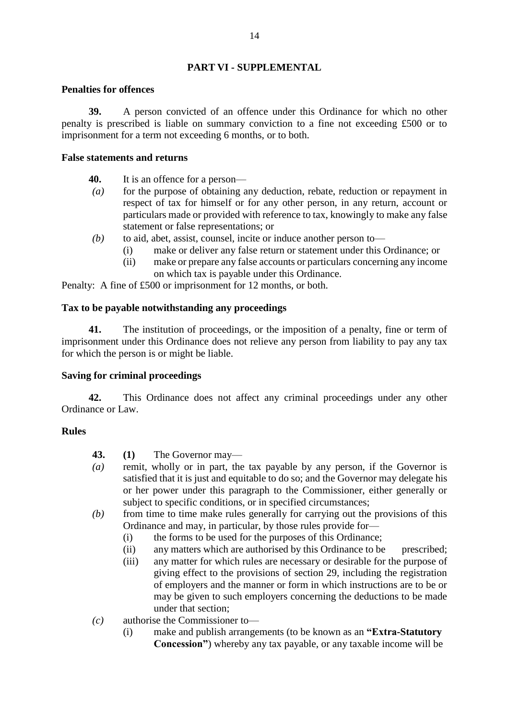## **PART VI - SUPPLEMENTAL**

#### **Penalties for offences**

**39.** A person convicted of an offence under this Ordinance for which no other penalty is prescribed is liable on summary conviction to a fine not exceeding £500 or to imprisonment for a term not exceeding 6 months, or to both.

### **False statements and returns**

- **40.** It is an offence for a person—
- *(a)* for the purpose of obtaining any deduction, rebate, reduction or repayment in respect of tax for himself or for any other person, in any return, account or particulars made or provided with reference to tax, knowingly to make any false statement or false representations; or
- *(b)* to aid, abet, assist, counsel, incite or induce another person to—
	- (i) make or deliver any false return or statement under this Ordinance; or
		- (ii) make or prepare any false accounts or particulars concerning any income on which tax is payable under this Ordinance.

Penalty: A fine of £500 or imprisonment for 12 months, or both.

### **Tax to be payable notwithstanding any proceedings**

**41.** The institution of proceedings, or the imposition of a penalty, fine or term of imprisonment under this Ordinance does not relieve any person from liability to pay any tax for which the person is or might be liable.

## **Saving for criminal proceedings**

**42.** This Ordinance does not affect any criminal proceedings under any other Ordinance or Law.

## **Rules**

**43. (1)** The Governor may—

- *(a)* remit, wholly or in part, the tax payable by any person, if the Governor is satisfied that it is just and equitable to do so; and the Governor may delegate his or her power under this paragraph to the Commissioner, either generally or subject to specific conditions, or in specified circumstances;
- *(b)* from time to time make rules generally for carrying out the provisions of this Ordinance and may, in particular, by those rules provide for—
	- (i) the forms to be used for the purposes of this Ordinance;
	- (ii) any matters which are authorised by this Ordinance to be prescribed;
	- (iii) any matter for which rules are necessary or desirable for the purpose of giving effect to the provisions of section 29, including the registration of employers and the manner or form in which instructions are to be or may be given to such employers concerning the deductions to be made under that section;
- *(c)* authorise the Commissioner to—
	- (i) make and publish arrangements (to be known as an **"Extra-Statutory Concession"**) whereby any tax payable, or any taxable income will be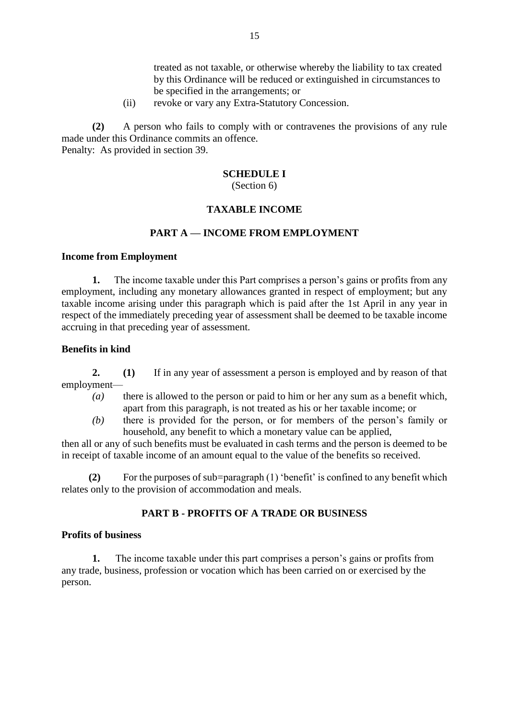treated as not taxable, or otherwise whereby the liability to tax created by this Ordinance will be reduced or extinguished in circumstances to be specified in the arrangements; or

(ii) revoke or vary any Extra-Statutory Concession.

**(2)** A person who fails to comply with or contravenes the provisions of any rule made under this Ordinance commits an offence. Penalty: As provided in section 39.

**SCHEDULE I**

(Section 6)

#### **TAXABLE INCOME**

#### **PART A — INCOME FROM EMPLOYMENT**

#### **Income from Employment**

**1.** The income taxable under this Part comprises a person's gains or profits from any employment, including any monetary allowances granted in respect of employment; but any taxable income arising under this paragraph which is paid after the 1st April in any year in respect of the immediately preceding year of assessment shall be deemed to be taxable income accruing in that preceding year of assessment.

#### **Benefits in kind**

**2. (1)** If in any year of assessment a person is employed and by reason of that employment—

- *(a)* there is allowed to the person or paid to him or her any sum as a benefit which, apart from this paragraph, is not treated as his or her taxable income; or
- *(b)* there is provided for the person, or for members of the person's family or household, any benefit to which a monetary value can be applied,

then all or any of such benefits must be evaluated in cash terms and the person is deemed to be in receipt of taxable income of an amount equal to the value of the benefits so received.

**(2)** For the purposes of sub=paragraph (1) 'benefit' is confined to any benefit which relates only to the provision of accommodation and meals.

#### **PART B - PROFITS OF A TRADE OR BUSINESS**

#### **Profits of business**

**1.** The income taxable under this part comprises a person's gains or profits from any trade, business, profession or vocation which has been carried on or exercised by the person.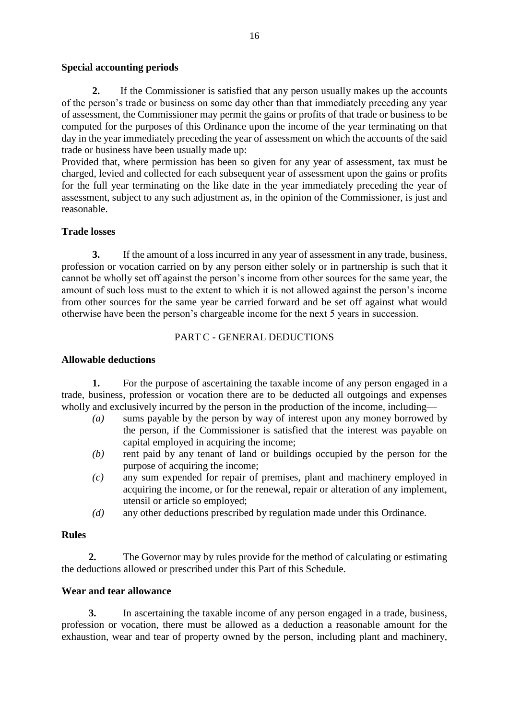#### **Special accounting periods**

**2.**If the Commissioner is satisfied that any person usually makes up the accounts of the person's trade or business on some day other than that immediately preceding any year of assessment, the Commissioner may permit the gains or profits of that trade or business to be computed for the purposes of this Ordinance upon the income of the year terminating on that day in the year immediately preceding the year of assessment on which the accounts of the said trade or business have been usually made up:

Provided that, where permission has been so given for any year of assessment, tax must be charged, levied and collected for each subsequent year of assessment upon the gains or profits for the full year terminating on the like date in the year immediately preceding the year of assessment, subject to any such adjustment as, in the opinion of the Commissioner, is just and reasonable.

#### **Trade losses**

**3.** If the amount of a loss incurred in any year of assessment in any trade, business, profession or vocation carried on by any person either solely or in partnership is such that it cannot be wholly set off against the person's income from other sources for the same year, the amount of such loss must to the extent to which it is not allowed against the person's income from other sources for the same year be carried forward and be set off against what would otherwise have been the person's chargeable income for the next 5 years in succession.

## PART C - GENERAL DEDUCTIONS

#### **Allowable deductions**

**1.** For the purpose of ascertaining the taxable income of any person engaged in a trade, business, profession or vocation there are to be deducted all outgoings and expenses wholly and exclusively incurred by the person in the production of the income, including—

- *(a)* sums payable by the person by way of interest upon any money borrowed by the person, if the Commissioner is satisfied that the interest was payable on capital employed in acquiring the income;
- *(b)* rent paid by any tenant of land or buildings occupied by the person for the purpose of acquiring the income;
- *(c)* any sum expended for repair of premises, plant and machinery employed in acquiring the income, or for the renewal, repair or alteration of any implement, utensil or article so employed;
- *(d)* any other deductions prescribed by regulation made under this Ordinance.

#### **Rules**

**2.** The Governor may by rules provide for the method of calculating or estimating the deductions allowed or prescribed under this Part of this Schedule.

#### **Wear and tear allowance**

**3.** In ascertaining the taxable income of any person engaged in a trade, business, profession or vocation, there must be allowed as a deduction a reasonable amount for the exhaustion, wear and tear of property owned by the person, including plant and machinery,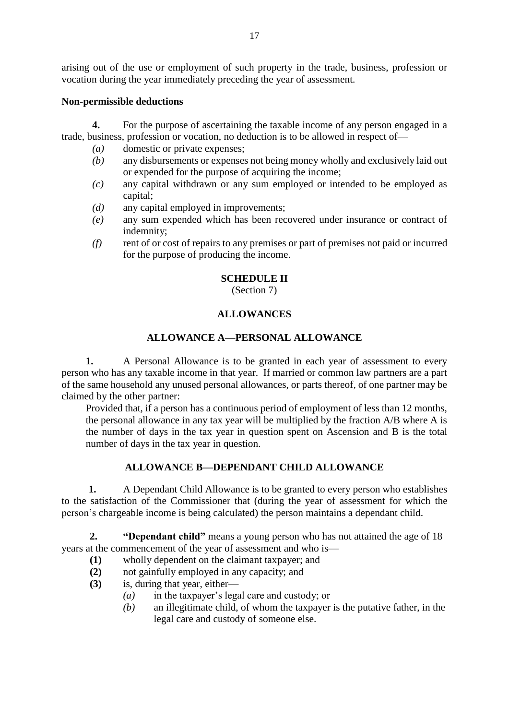arising out of the use or employment of such property in the trade, business, profession or vocation during the year immediately preceding the year of assessment.

#### **Non-permissible deductions**

**4.** For the purpose of ascertaining the taxable income of any person engaged in a trade, business, profession or vocation, no deduction is to be allowed in respect of—

- *(a)* domestic or private expenses;
- *(b)* any disbursements or expenses not being money wholly and exclusively laid out or expended for the purpose of acquiring the income;
- *(c)* any capital withdrawn or any sum employed or intended to be employed as capital;
- *(d)* any capital employed in improvements;
- *(e)* any sum expended which has been recovered under insurance or contract of indemnity;
- *(f)* rent of or cost of repairs to any premises or part of premises not paid or incurred for the purpose of producing the income.

#### **SCHEDULE II**

(Section 7)

### **ALLOWANCES**

## **ALLOWANCE A—PERSONAL ALLOWANCE**

**1.** A Personal Allowance is to be granted in each year of assessment to every person who has any taxable income in that year. If married or common law partners are a part of the same household any unused personal allowances, or parts thereof, of one partner may be claimed by the other partner:

Provided that, if a person has a continuous period of employment of less than 12 months, the personal allowance in any tax year will be multiplied by the fraction A/B where A is the number of days in the tax year in question spent on Ascension and B is the total number of days in the tax year in question.

## **ALLOWANCE B—DEPENDANT CHILD ALLOWANCE**

**1.** A Dependant Child Allowance is to be granted to every person who establishes to the satisfaction of the Commissioner that (during the year of assessment for which the person's chargeable income is being calculated) the person maintains a dependant child.

 **2. "Dependant child"** means a young person who has not attained the age of 18 years at the commencement of the year of assessment and who is—

- **(1)** wholly dependent on the claimant taxpayer; and
- **(2)** not gainfully employed in any capacity; and
- **(3)** is, during that year, either—
	- *(a)* in the taxpayer's legal care and custody; or
		- *(b)* an illegitimate child, of whom the taxpayer is the putative father, in the legal care and custody of someone else.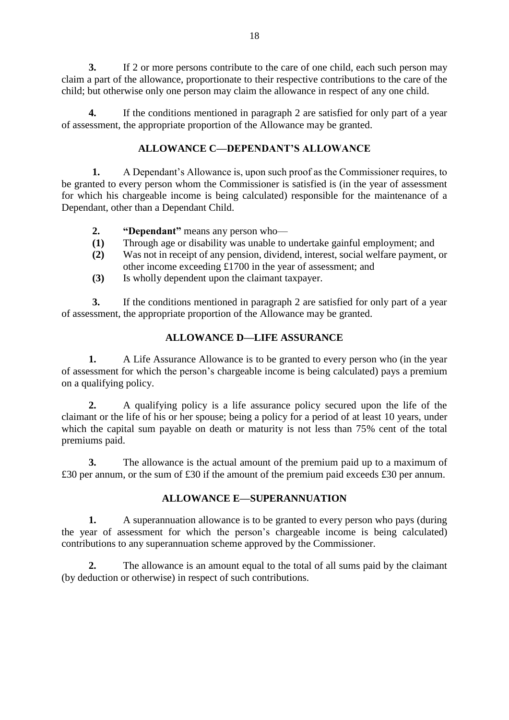**3.** If 2 or more persons contribute to the care of one child, each such person may claim a part of the allowance, proportionate to their respective contributions to the care of the child; but otherwise only one person may claim the allowance in respect of any one child.

**4.** If the conditions mentioned in paragraph 2 are satisfied for only part of a year of assessment, the appropriate proportion of the Allowance may be granted.

## **ALLOWANCE C—DEPENDANT'S ALLOWANCE**

**1.** A Dependant's Allowance is, upon such proof as the Commissioner requires, to be granted to every person whom the Commissioner is satisfied is (in the year of assessment for which his chargeable income is being calculated) responsible for the maintenance of a Dependant, other than a Dependant Child.

- **2. "Dependant"** means any person who—
- **(1)** Through age or disability was unable to undertake gainful employment; and
- **(2)** Was not in receipt of any pension, dividend, interest, social welfare payment, or other income exceeding £1700 in the year of assessment; and
- **(3)** Is wholly dependent upon the claimant taxpayer.

**3.** If the conditions mentioned in paragraph 2 are satisfied for only part of a year of assessment, the appropriate proportion of the Allowance may be granted.

## **ALLOWANCE D—LIFE ASSURANCE**

**1.** A Life Assurance Allowance is to be granted to every person who (in the year of assessment for which the person's chargeable income is being calculated) pays a premium on a qualifying policy.

**2.** A qualifying policy is a life assurance policy secured upon the life of the claimant or the life of his or her spouse; being a policy for a period of at least 10 years, under which the capital sum payable on death or maturity is not less than 75% cent of the total premiums paid.

**3.** The allowance is the actual amount of the premium paid up to a maximum of £30 per annum, or the sum of £30 if the amount of the premium paid exceeds £30 per annum.

## **ALLOWANCE E—SUPERANNUATION**

**1.** A superannuation allowance is to be granted to every person who pays (during the year of assessment for which the person's chargeable income is being calculated) contributions to any superannuation scheme approved by the Commissioner.

**2.** The allowance is an amount equal to the total of all sums paid by the claimant (by deduction or otherwise) in respect of such contributions.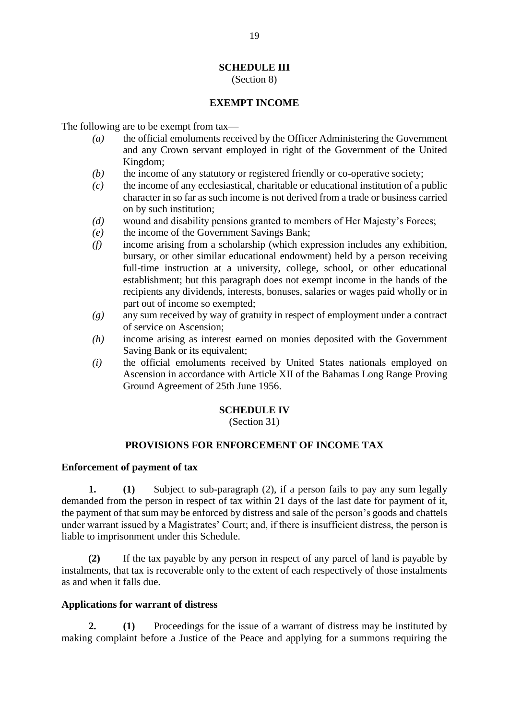# **SCHEDULE III**

#### (Section 8)

## **EXEMPT INCOME**

The following are to be exempt from tax—

- *(a)* the official emoluments received by the Officer Administering the Government and any Crown servant employed in right of the Government of the United Kingdom;
- *(b)* the income of any statutory or registered friendly or co-operative society;
- *(c)* the income of any ecclesiastical, charitable or educational institution of a public character in so far as such income is not derived from a trade or business carried on by such institution;
- *(d)* wound and disability pensions granted to members of Her Majesty's Forces;
- *(e)* the income of the Government Savings Bank;
- *(f)* income arising from a scholarship (which expression includes any exhibition, bursary, or other similar educational endowment) held by a person receiving full-time instruction at a university, college, school, or other educational establishment; but this paragraph does not exempt income in the hands of the recipients any dividends, interests, bonuses, salaries or wages paid wholly or in part out of income so exempted;
- *(g)* any sum received by way of gratuity in respect of employment under a contract of service on Ascension;
- *(h)* income arising as interest earned on monies deposited with the Government Saving Bank or its equivalent;
- *(i)* the official emoluments received by United States nationals employed on Ascension in accordance with Article XII of the Bahamas Long Range Proving Ground Agreement of 25th June 1956.

## **SCHEDULE IV**

(Section 31)

## **PROVISIONS FOR ENFORCEMENT OF INCOME TAX**

## **Enforcement of payment of tax**

**1. (1)** Subject to sub-paragraph (2), if a person fails to pay any sum legally demanded from the person in respect of tax within 21 days of the last date for payment of it, the payment of that sum may be enforced by distress and sale of the person's goods and chattels under warrant issued by a Magistrates' Court; and, if there is insufficient distress, the person is liable to imprisonment under this Schedule.

**(2)** If the tax payable by any person in respect of any parcel of land is payable by instalments, that tax is recoverable only to the extent of each respectively of those instalments as and when it falls due.

## **Applications for warrant of distress**

**2. (1)** Proceedings for the issue of a warrant of distress may be instituted by making complaint before a Justice of the Peace and applying for a summons requiring the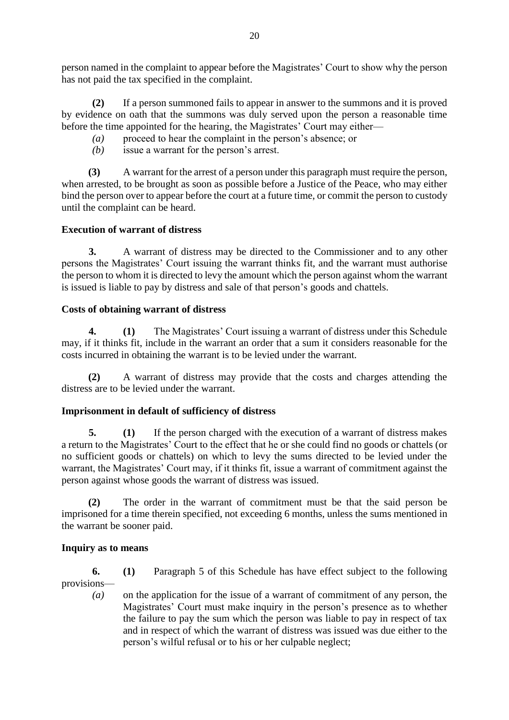person named in the complaint to appear before the Magistrates' Court to show why the person has not paid the tax specified in the complaint.

**(2)** If a person summoned fails to appear in answer to the summons and it is proved by evidence on oath that the summons was duly served upon the person a reasonable time before the time appointed for the hearing, the Magistrates' Court may either—

- *(a)* proceed to hear the complaint in the person's absence; or
- *(b)* issue a warrant for the person's arrest.

**(3)** A warrant for the arrest of a person under this paragraph must require the person, when arrested, to be brought as soon as possible before a Justice of the Peace, who may either bind the person over to appear before the court at a future time, or commit the person to custody until the complaint can be heard.

## **Execution of warrant of distress**

**3.** A warrant of distress may be directed to the Commissioner and to any other persons the Magistrates' Court issuing the warrant thinks fit, and the warrant must authorise the person to whom it is directed to levy the amount which the person against whom the warrant is issued is liable to pay by distress and sale of that person's goods and chattels.

### **Costs of obtaining warrant of distress**

**4. (1)** The Magistrates' Court issuing a warrant of distress under this Schedule may, if it thinks fit, include in the warrant an order that a sum it considers reasonable for the costs incurred in obtaining the warrant is to be levied under the warrant.

**(2)** A warrant of distress may provide that the costs and charges attending the distress are to be levied under the warrant.

## **Imprisonment in default of sufficiency of distress**

**5. (1)** If the person charged with the execution of a warrant of distress makes a return to the Magistrates' Court to the effect that he or she could find no goods or chattels (or no sufficient goods or chattels) on which to levy the sums directed to be levied under the warrant, the Magistrates' Court may, if it thinks fit, issue a warrant of commitment against the person against whose goods the warrant of distress was issued.

**(2)** The order in the warrant of commitment must be that the said person be imprisoned for a time therein specified, not exceeding 6 months, unless the sums mentioned in the warrant be sooner paid.

#### **Inquiry as to means**

**6. (1)** Paragraph 5 of this Schedule has have effect subject to the following provisions—

*(a)* on the application for the issue of a warrant of commitment of any person, the Magistrates' Court must make inquiry in the person's presence as to whether the failure to pay the sum which the person was liable to pay in respect of tax and in respect of which the warrant of distress was issued was due either to the person's wilful refusal or to his or her culpable neglect;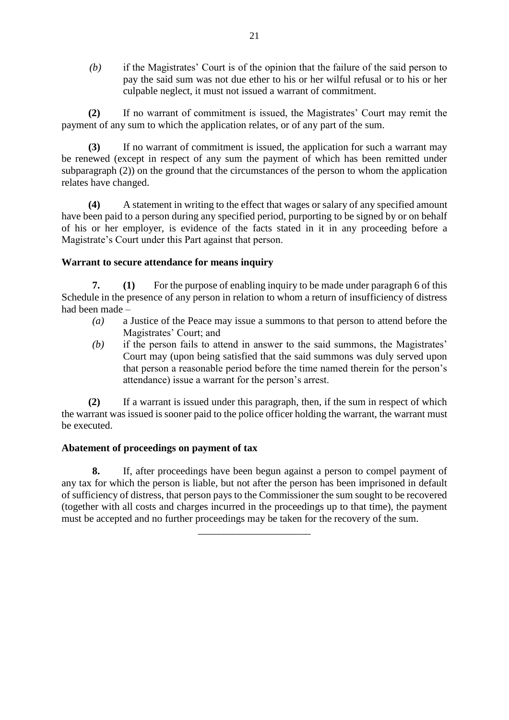*(b)* if the Magistrates' Court is of the opinion that the failure of the said person to pay the said sum was not due ether to his or her wilful refusal or to his or her culpable neglect, it must not issued a warrant of commitment.

**(2)** If no warrant of commitment is issued, the Magistrates' Court may remit the payment of any sum to which the application relates, or of any part of the sum.

**(3)** If no warrant of commitment is issued, the application for such a warrant may be renewed (except in respect of any sum the payment of which has been remitted under subparagraph (2)) on the ground that the circumstances of the person to whom the application relates have changed.

**(4)** A statement in writing to the effect that wages or salary of any specified amount have been paid to a person during any specified period, purporting to be signed by or on behalf of his or her employer, is evidence of the facts stated in it in any proceeding before a Magistrate's Court under this Part against that person.

### **Warrant to secure attendance for means inquiry**

**7. (1)** For the purpose of enabling inquiry to be made under paragraph 6 of this Schedule in the presence of any person in relation to whom a return of insufficiency of distress had been made –

- *(a)* a Justice of the Peace may issue a summons to that person to attend before the Magistrates' Court; and
- *(b)* if the person fails to attend in answer to the said summons, the Magistrates' Court may (upon being satisfied that the said summons was duly served upon that person a reasonable period before the time named therein for the person's attendance) issue a warrant for the person's arrest.

**(2)** If a warrant is issued under this paragraph, then, if the sum in respect of which the warrant was issued is sooner paid to the police officer holding the warrant, the warrant must be executed.

#### **Abatement of proceedings on payment of tax**

**8.** If, after proceedings have been begun against a person to compel payment of any tax for which the person is liable, but not after the person has been imprisoned in default of sufficiency of distress, that person pays to the Commissioner the sum sought to be recovered (together with all costs and charges incurred in the proceedings up to that time), the payment must be accepted and no further proceedings may be taken for the recovery of the sum.

*\_\_\_\_\_\_\_\_\_\_\_\_\_\_\_\_\_\_\_\_\_\_*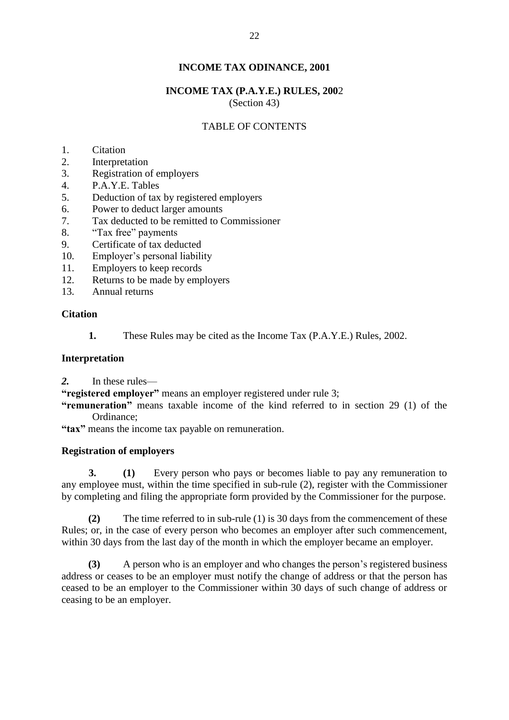## **INCOME TAX (P.A.Y.E.) RULES, 200**2

(Section 43)

## TABLE OF CONTENTS

- 1. Citation
- 2. Interpretation
- 3. Registration of employers
- 4. P.A.Y.E. Tables
- 5. Deduction of tax by registered employers
- 6. Power to deduct larger amounts
- 7. Tax deducted to be remitted to Commissioner
- 8. "Tax free" payments
- 9. Certificate of tax deducted
- 10. Employer's personal liability
- 11. Employers to keep records
- 12. Returns to be made by employers
- 13. Annual returns

### **Citation**

**1.** These Rules may be cited as the Income Tax (P.A.Y.E.) Rules, 2002.

### **Interpretation**

*2.* In these rules—

**"registered employer"** means an employer registered under rule 3;

**"remuneration"** means taxable income of the kind referred to in section 29 (1) of the Ordinance;

**"tax"** means the income tax payable on remuneration.

#### **Registration of employers**

**3. (1)** Every person who pays or becomes liable to pay any remuneration to any employee must, within the time specified in sub-rule (2), register with the Commissioner by completing and filing the appropriate form provided by the Commissioner for the purpose.

**(2)** The time referred to in sub-rule (1) is 30 days from the commencement of these Rules; or, in the case of every person who becomes an employer after such commencement, within 30 days from the last day of the month in which the employer became an employer.

**(3)** A person who is an employer and who changes the person's registered business address or ceases to be an employer must notify the change of address or that the person has ceased to be an employer to the Commissioner within 30 days of such change of address or ceasing to be an employer.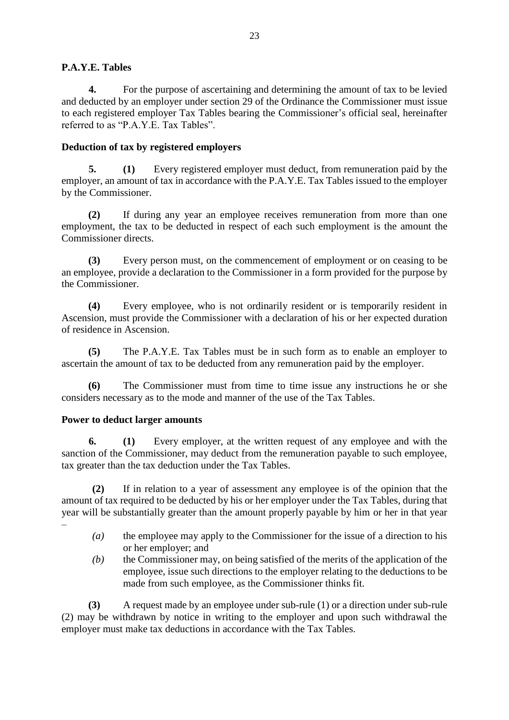## **P.A.Y.E. Tables**

**4.** For the purpose of ascertaining and determining the amount of tax to be levied and deducted by an employer under section 29 of the Ordinance the Commissioner must issue to each registered employer Tax Tables bearing the Commissioner's official seal, hereinafter referred to as "P.A.Y.E. Tax Tables".

## **Deduction of tax by registered employers**

**5. (1)** Every registered employer must deduct, from remuneration paid by the employer, an amount of tax in accordance with the P.A.Y.E. Tax Tables issued to the employer by the Commissioner.

**(2)** If during any year an employee receives remuneration from more than one employment, the tax to be deducted in respect of each such employment is the amount the Commissioner directs.

**(3)** Every person must, on the commencement of employment or on ceasing to be an employee, provide a declaration to the Commissioner in a form provided for the purpose by the Commissioner.

**(4)** Every employee, who is not ordinarily resident or is temporarily resident in Ascension, must provide the Commissioner with a declaration of his or her expected duration of residence in Ascension.

**(5)** The P.A.Y.E. Tax Tables must be in such form as to enable an employer to ascertain the amount of tax to be deducted from any remuneration paid by the employer.

**(6)** The Commissioner must from time to time issue any instructions he or she considers necessary as to the mode and manner of the use of the Tax Tables.

## **Power to deduct larger amounts**

**6. (1)** Every employer, at the written request of any employee and with the sanction of the Commissioner, may deduct from the remuneration payable to such employee, tax greater than the tax deduction under the Tax Tables.

**(2)** If in relation to a year of assessment any employee is of the opinion that the amount of tax required to be deducted by his or her employer under the Tax Tables, during that year will be substantially greater than the amount properly payable by him or her in that year –

- 
- *(a)* the employee may apply to the Commissioner for the issue of a direction to his or her employer; and
- *(b)* the Commissioner may, on being satisfied of the merits of the application of the employee, issue such directions to the employer relating to the deductions to be made from such employee, as the Commissioner thinks fit.

**(3)** A request made by an employee under sub-rule (1) or a direction under sub-rule (2) may be withdrawn by notice in writing to the employer and upon such withdrawal the employer must make tax deductions in accordance with the Tax Tables.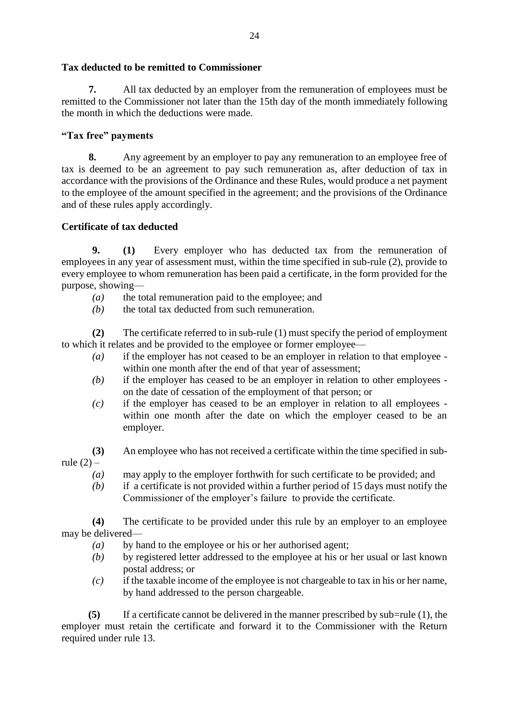## **Tax deducted to be remitted to Commissioner**

**7.** All tax deducted by an employer from the remuneration of employees must be remitted to the Commissioner not later than the 15th day of the month immediately following the month in which the deductions were made.

## **"Tax free" payments**

**8.** Any agreement by an employer to pay any remuneration to an employee free of tax is deemed to be an agreement to pay such remuneration as, after deduction of tax in accordance with the provisions of the Ordinance and these Rules, would produce a net payment to the employee of the amount specified in the agreement; and the provisions of the Ordinance and of these rules apply accordingly.

## **Certificate of tax deducted**

**9. (1)** Every employer who has deducted tax from the remuneration of employees in any year of assessment must, within the time specified in sub-rule (2), provide to every employee to whom remuneration has been paid a certificate, in the form provided for the purpose, showing—

- *(a)* the total remuneration paid to the employee; and
- *(b)* the total tax deducted from such remuneration.

**(2)** The certificate referred to in sub-rule (1) must specify the period of employment to which it relates and be provided to the employee or former employee—

- *(a)* if the employer has not ceased to be an employer in relation to that employee within one month after the end of that year of assessment;
- *(b)* if the employer has ceased to be an employer in relation to other employees on the date of cessation of the employment of that person; or
- *(c)* if the employer has ceased to be an employer in relation to all employees within one month after the date on which the employer ceased to be an employer.

**(3)** An employee who has not received a certificate within the time specified in subrule  $(2)$  –

- *(a)* may apply to the employer forthwith for such certificate to be provided; and
- *(b)* if a certificate is not provided within a further period of 15 days must notify the Commissioner of the employer's failure to provide the certificate.

**(4)** The certificate to be provided under this rule by an employer to an employee may be delivered—

- *(a)* by hand to the employee or his or her authorised agent;
- *(b)* by registered letter addressed to the employee at his or her usual or last known postal address; or
- *(c)* if the taxable income of the employee is not chargeable to tax in his or her name, by hand addressed to the person chargeable.

**(5)** If a certificate cannot be delivered in the manner prescribed by sub=rule (1), the employer must retain the certificate and forward it to the Commissioner with the Return required under rule 13.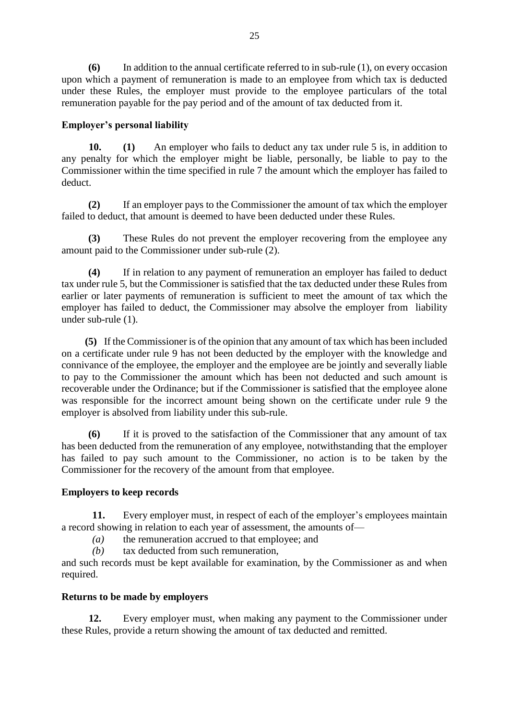**(6)** In addition to the annual certificate referred to in sub-rule (1), on every occasion upon which a payment of remuneration is made to an employee from which tax is deducted under these Rules, the employer must provide to the employee particulars of the total remuneration payable for the pay period and of the amount of tax deducted from it.

#### **Employer's personal liability**

**10. (1)** An employer who fails to deduct any tax under rule 5 is, in addition to any penalty for which the employer might be liable, personally, be liable to pay to the Commissioner within the time specified in rule 7 the amount which the employer has failed to deduct.

**(2)** If an employer pays to the Commissioner the amount of tax which the employer failed to deduct, that amount is deemed to have been deducted under these Rules.

**(3)** These Rules do not prevent the employer recovering from the employee any amount paid to the Commissioner under sub-rule (2).

**(4)** If in relation to any payment of remuneration an employer has failed to deduct tax under rule 5, but the Commissioner is satisfied that the tax deducted under these Rules from earlier or later payments of remuneration is sufficient to meet the amount of tax which the employer has failed to deduct, the Commissioner may absolve the employer from liability under sub-rule (1).

**(5)** If the Commissioner is of the opinion that any amount of tax which has been included on a certificate under rule 9 has not been deducted by the employer with the knowledge and connivance of the employee, the employer and the employee are be jointly and severally liable to pay to the Commissioner the amount which has been not deducted and such amount is recoverable under the Ordinance; but if the Commissioner is satisfied that the employee alone was responsible for the incorrect amount being shown on the certificate under rule 9 the employer is absolved from liability under this sub-rule.

**(6)** If it is proved to the satisfaction of the Commissioner that any amount of tax has been deducted from the remuneration of any employee, notwithstanding that the employer has failed to pay such amount to the Commissioner, no action is to be taken by the Commissioner for the recovery of the amount from that employee.

## **Employers to keep records**

**11.** Every employer must, in respect of each of the employer's employees maintain a record showing in relation to each year of assessment, the amounts of—

*(a)* the remuneration accrued to that employee; and

*(b)* tax deducted from such remuneration,

and such records must be kept available for examination, by the Commissioner as and when required.

#### **Returns to be made by employers**

**12.** Every employer must, when making any payment to the Commissioner under these Rules, provide a return showing the amount of tax deducted and remitted.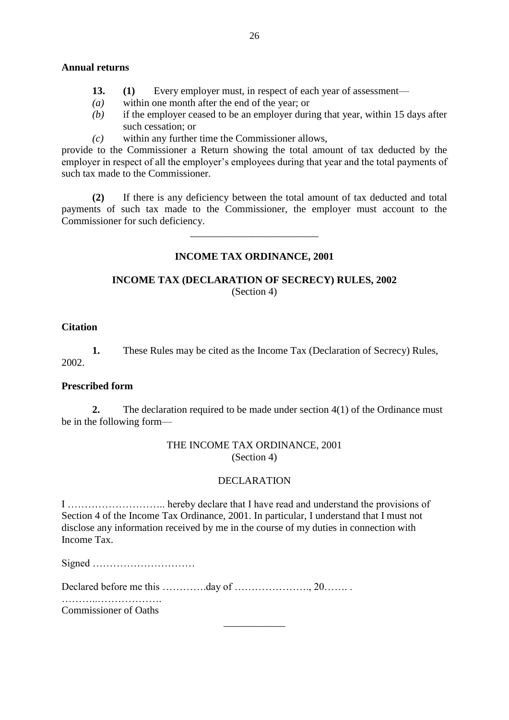#### **Annual returns**

- **13. (1)** Every employer must, in respect of each year of assessment—
- *(a)* within one month after the end of the year; or
- *(b)* if the employer ceased to be an employer during that year, within 15 days after such cessation; or
- *(c)* within any further time the Commissioner allows,

provide to the Commissioner a Return showing the total amount of tax deducted by the employer in respect of all the employer's employees during that year and the total payments of such tax made to the Commissioner.

**(2)** If there is any deficiency between the total amount of tax deducted and total payments of such tax made to the Commissioner, the employer must account to the Commissioner for such deficiency.

#### **INCOME TAX ORDINANCE, 2001**

*\_\_\_\_\_\_\_\_\_\_\_\_\_\_\_\_\_\_\_\_\_\_\_\_\_*

#### **INCOME TAX (DECLARATION OF SECRECY) RULES, 2002** (Section 4)

#### **Citation**

**1.** These Rules may be cited as the Income Tax (Declaration of Secrecy) Rules, 2002.

#### **Prescribed form**

**2.** The declaration required to be made under section 4(1) of the Ordinance must be in the following form—

#### THE INCOME TAX ORDINANCE, 2001 (Section 4)

#### DECLARATION

I ……………………….. hereby declare that I have read and understand the provisions of Section 4 of the Income Tax Ordinance, 2001. In particular, I understand that I must not disclose any information received by me in the course of my duties in connection with Income Tax.

*\_\_\_\_\_\_\_\_\_\_\_\_*

Signed …………………………

Declared before me this ………….day of …………………., 20……. .

………..………………. Commissioner of Oaths

26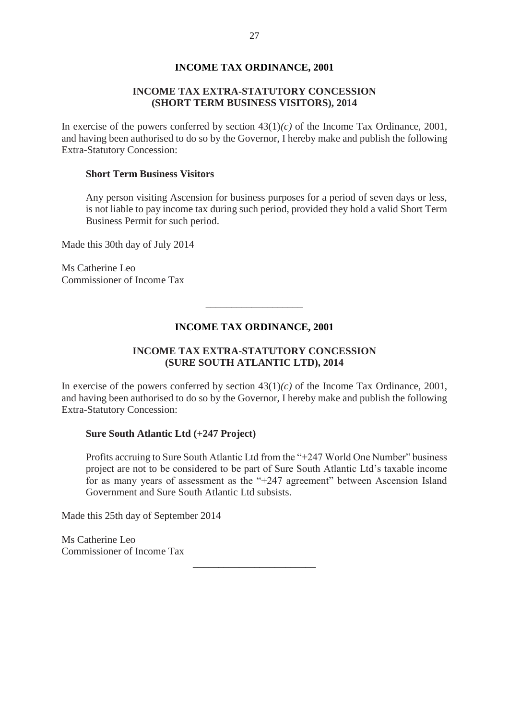#### **INCOME TAX EXTRA-STATUTORY CONCESSION (SHORT TERM BUSINESS VISITORS), 2014**

In exercise of the powers conferred by section  $43(1)(c)$  of the Income Tax Ordinance, 2001, and having been authorised to do so by the Governor, I hereby make and publish the following Extra-Statutory Concession:

#### **Short Term Business Visitors**

Any person visiting Ascension for business purposes for a period of seven days or less, is not liable to pay income tax during such period, provided they hold a valid Short Term Business Permit for such period.

Made this 30th day of July 2014

Ms Catherine Leo Commissioner of Income Tax

#### **INCOME TAX ORDINANCE, 2001**

\_\_\_\_\_\_\_\_\_\_\_\_\_\_\_\_\_\_\_

### **INCOME TAX EXTRA-STATUTORY CONCESSION (SURE SOUTH ATLANTIC LTD), 2014**

In exercise of the powers conferred by section  $43(1)(c)$  of the Income Tax Ordinance, 2001, and having been authorised to do so by the Governor, I hereby make and publish the following Extra-Statutory Concession:

#### **Sure South Atlantic Ltd (+247 Project)**

Profits accruing to Sure South Atlantic Ltd from the "+247 World One Number" business project are not to be considered to be part of Sure South Atlantic Ltd's taxable income for as many years of assessment as the "+247 agreement" between Ascension Island Government and Sure South Atlantic Ltd subsists.

*\_\_\_\_\_\_\_\_\_\_\_\_\_\_\_\_\_\_\_\_\_\_\_\_*

Made this 25th day of September 2014

Ms Catherine Leo Commissioner of Income Tax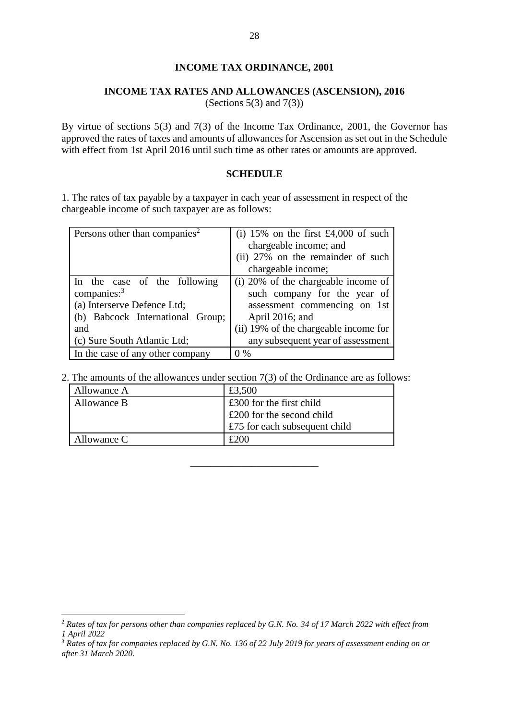#### **INCOME TAX RATES AND ALLOWANCES (ASCENSION), 2016**

(Sections  $5(3)$  and  $7(3)$ )

By virtue of sections 5(3) and 7(3) of the Income Tax Ordinance, 2001, the Governor has approved the rates of taxes and amounts of allowances for Ascension as set out in the Schedule with effect from 1st April 2016 until such time as other rates or amounts are approved.

### **SCHEDULE**

1. The rates of tax payable by a taxpayer in each year of assessment in respect of the chargeable income of such taxpayer are as follows:

| Persons other than companies <sup>2</sup>                                                                                                                | (i) 15% on the first £4,000 of such<br>chargeable income; and<br>(ii) 27% on the remainder of such<br>chargeable income;                                                                             |
|----------------------------------------------------------------------------------------------------------------------------------------------------------|------------------------------------------------------------------------------------------------------------------------------------------------------------------------------------------------------|
| In the case of the following<br>companies: $3$<br>(a) Interserve Defence Ltd;<br>(b) Babcock International Group;<br>and<br>(c) Sure South Atlantic Ltd; | (i) 20% of the chargeable income of<br>such company for the year of<br>assessment commencing on 1st<br>April 2016; and<br>(ii) 19% of the chargeable income for<br>any subsequent year of assessment |
| In the case of any other company                                                                                                                         | $0\%$                                                                                                                                                                                                |

2. The amounts of the allowances under section 7(3) of the Ordinance are as follows:

| Allowance A | £3,500                             |
|-------------|------------------------------------|
| Allowance B | $\pounds 300$ for the first child  |
|             | $\pounds$ 200 for the second child |
|             | £75 for each subsequent child      |
| Allowance C | £200                               |

**\_\_\_\_\_\_\_\_\_\_\_\_\_\_\_\_\_\_\_\_\_\_\_\_\_**

1

<sup>2</sup> *Rates of tax for persons other than companies replaced by G.N. No. 34 of 17 March 2022 with effect from 1 April 2022*

<sup>3</sup> *Rates of tax for companies replaced by G.N. No. 136 of 22 July 2019 for years of assessment ending on or after 31 March 2020.*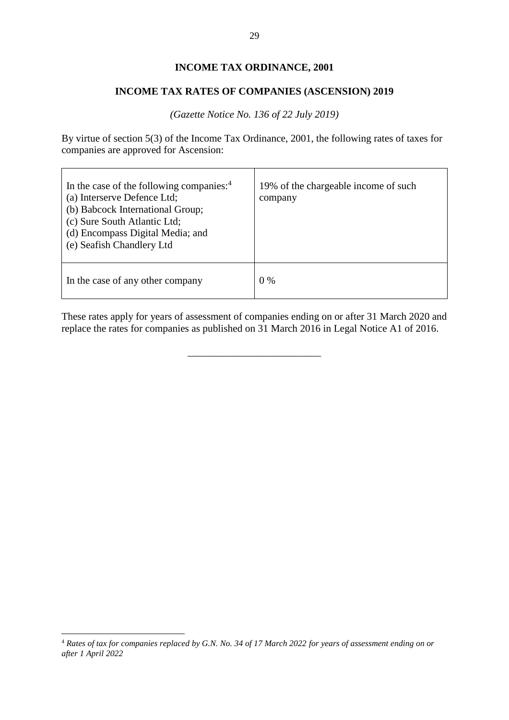#### **INCOME TAX RATES OF COMPANIES (ASCENSION) 2019**

*(Gazette Notice No. 136 of 22 July 2019)*

By virtue of section 5(3) of the Income Tax Ordinance, 2001, the following rates of taxes for companies are approved for Ascension:

| In the case of the following companies: $4$<br>(a) Interserve Defence Ltd;<br>(b) Babcock International Group;<br>(c) Sure South Atlantic Ltd;<br>(d) Encompass Digital Media; and<br>(e) Seafish Chandlery Ltd | 19% of the chargeable income of such<br>company |
|-----------------------------------------------------------------------------------------------------------------------------------------------------------------------------------------------------------------|-------------------------------------------------|
| In the case of any other company                                                                                                                                                                                | $0\%$                                           |

These rates apply for years of assessment of companies ending on or after 31 March 2020 and replace the rates for companies as published on 31 March 2016 in Legal Notice A1 of 2016.

\_\_\_\_\_\_\_\_\_\_\_\_\_\_\_\_\_\_\_\_\_\_\_\_\_\_

<u>.</u>

<sup>4</sup> *Rates of tax for companies replaced by G.N. No. 34 of 17 March 2022 for years of assessment ending on or after 1 April 2022*